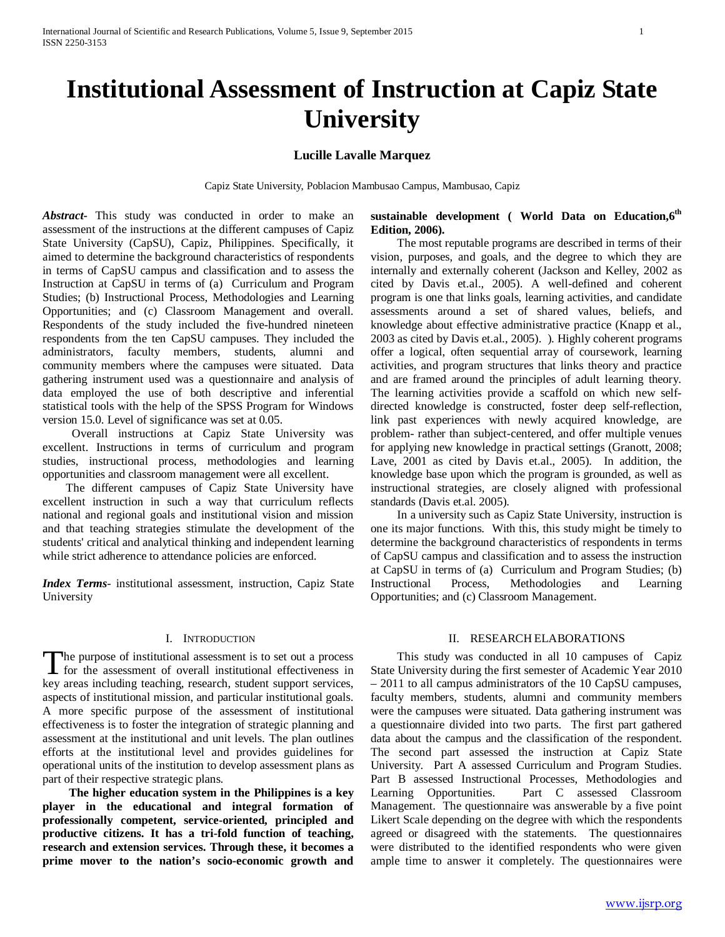# **Institutional Assessment of Instruction at Capiz State University**

# **Lucille Lavalle Marquez**

Capiz State University, Poblacion Mambusao Campus, Mambusao, Capiz

*Abstract***-** This study was conducted in order to make an assessment of the instructions at the different campuses of Capiz State University (CapSU), Capiz, Philippines. Specifically, it aimed to determine the background characteristics of respondents in terms of CapSU campus and classification and to assess the Instruction at CapSU in terms of (a) Curriculum and Program Studies; (b) Instructional Process, Methodologies and Learning Opportunities; and (c) Classroom Management and overall. Respondents of the study included the five-hundred nineteen respondents from the ten CapSU campuses. They included the administrators, faculty members, students, alumni and community members where the campuses were situated. Data gathering instrument used was a questionnaire and analysis of data employed the use of both descriptive and inferential statistical tools with the help of the SPSS Program for Windows version 15.0. Level of significance was set at 0.05.

 Overall instructions at Capiz State University was excellent. Instructions in terms of curriculum and program studies, instructional process, methodologies and learning opportunities and classroom management were all excellent.

 The different campuses of Capiz State University have excellent instruction in such a way that curriculum reflects national and regional goals and institutional vision and mission and that teaching strategies stimulate the development of the students' critical and analytical thinking and independent learning while strict adherence to attendance policies are enforced.

*Index Terms*- institutional assessment, instruction, Capiz State University

# I. INTRODUCTION

he purpose of institutional assessment is to set out a process The purpose of institutional assessment is to set out a process<br>for the assessment of overall institutional effectiveness in key areas including teaching, research, student support services, aspects of institutional mission, and particular institutional goals. A more specific purpose of the assessment of institutional effectiveness is to foster the integration of strategic planning and assessment at the institutional and unit levels. The plan outlines efforts at the institutional level and provides guidelines for operational units of the institution to develop assessment plans as part of their respective strategic plans.

 **The higher education system in the Philippines is a key player in the educational and integral formation of professionally competent, service-oriented, principled and productive citizens. It has a tri-fold function of teaching, research and extension services. Through these, it becomes a prime mover to the nation's socio-economic growth and** 

# sustainable development ( World Data on Education, 6<sup>th</sup> **Edition, 2006).**

The most reputable programs are described in terms of their vision, purposes, and goals, and the degree to which they are internally and externally coherent (Jackson and Kelley, 2002 as cited by Davis et.al., 2005). A well-defined and coherent program is one that links goals, learning activities, and candidate assessments around a set of shared values, beliefs, and knowledge about effective administrative practice (Knapp et al., 2003 as cited by Davis et.al., 2005). ). Highly coherent programs offer a logical, often sequential array of coursework, learning activities, and program structures that links theory and practice and are framed around the principles of adult learning theory. The learning activities provide a scaffold on which new selfdirected knowledge is constructed, foster deep self-reflection, link past experiences with newly acquired knowledge, are problem- rather than subject-centered, and offer multiple venues for applying new knowledge in practical settings (Granott, 2008; Lave, 2001 as cited by Davis et.al., 2005). In addition, the knowledge base upon which the program is grounded, as well as instructional strategies, are closely aligned with professional standards (Davis et.al. 2005).

In a university such as Capiz State University, instruction is one its major functions. With this, this study might be timely to determine the background characteristics of respondents in terms of CapSU campus and classification and to assess the instruction at CapSU in terms of (a) Curriculum and Program Studies; (b) Instructional Process, Methodologies and Learning Opportunities; and (c) Classroom Management.

## II. RESEARCH ELABORATIONS

This study was conducted in all 10 campuses of Capiz State University during the first semester of Academic Year 2010 – 2011 to all campus administrators of the 10 CapSU campuses, faculty members, students, alumni and community members were the campuses were situated. Data gathering instrument was a questionnaire divided into two parts. The first part gathered data about the campus and the classification of the respondent. The second part assessed the instruction at Capiz State University. Part A assessed Curriculum and Program Studies. Part B assessed Instructional Processes, Methodologies and Learning Opportunities. Part C assessed Classroom Management. The questionnaire was answerable by a five point Likert Scale depending on the degree with which the respondents agreed or disagreed with the statements. The questionnaires were distributed to the identified respondents who were given ample time to answer it completely. The questionnaires were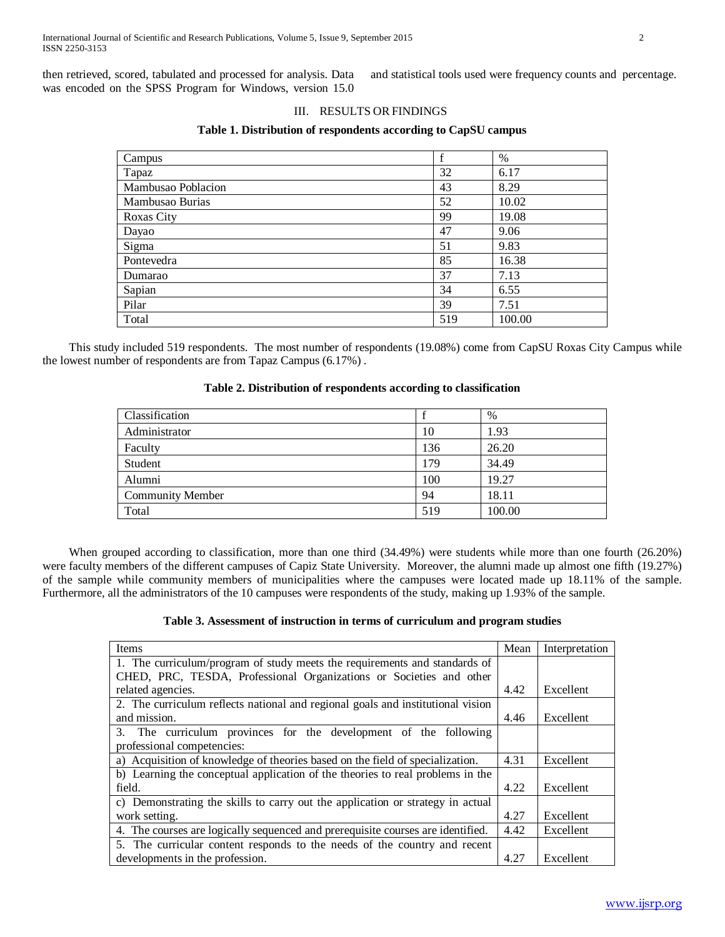then retrieved, scored, tabulated and processed for analysis. Data was encoded on the SPSS Program for Windows, version 15.0 and statistical tools used were frequency counts and percentage.

## III. RESULTS OR FINDINGS

| Campus             | $\mathbf f$ | $\%$   |
|--------------------|-------------|--------|
| Tapaz              | 32          | 6.17   |
| Mambusao Poblacion | 43          | 8.29   |
| Mambusao Burias    | 52          | 10.02  |
| <b>Roxas City</b>  | 99          | 19.08  |
| Dayao              | 47          | 9.06   |
| Sigma              | 51          | 9.83   |
| Pontevedra         | 85          | 16.38  |
| Dumarao            | 37          | 7.13   |
| Sapian             | 34          | 6.55   |
| Pilar              | 39          | 7.51   |
| Total              | 519         | 100.00 |

This study included 519 respondents. The most number of respondents (19.08%) come from CapSU Roxas City Campus while the lowest number of respondents are from Tapaz Campus (6.17%) .

## **Table 2. Distribution of respondents according to classification**

| Classification          |     | $\%$   |
|-------------------------|-----|--------|
| Administrator           | 10  | 1.93   |
| Faculty                 | 136 | 26.20  |
| Student                 | 179 | 34.49  |
| Alumni                  | 100 | 19.27  |
| <b>Community Member</b> | 94  | 18.11  |
| Total                   | 519 | 100.00 |

When grouped according to classification, more than one third (34.49%) were students while more than one fourth (26.20%) were faculty members of the different campuses of Capiz State University. Moreover, the alumni made up almost one fifth (19.27%) of the sample while community members of municipalities where the campuses were located made up 18.11% of the sample. Furthermore, all the administrators of the 10 campuses were respondents of the study, making up 1.93% of the sample.

# **Table 3. Assessment of instruction in terms of curriculum and program studies**

| Items                                                                           | Mean | Interpretation |
|---------------------------------------------------------------------------------|------|----------------|
| 1. The curriculum/program of study meets the requirements and standards of      |      |                |
| CHED, PRC, TESDA, Professional Organizations or Societies and other             |      |                |
| related agencies.                                                               | 4.42 | Excellent      |
| 2. The curriculum reflects national and regional goals and institutional vision |      |                |
| and mission.                                                                    | 4.46 | Excellent      |
| 3. The curriculum provinces for the development of the following                |      |                |
| professional competencies:                                                      |      |                |
| a) Acquisition of knowledge of theories based on the field of specialization.   | 4.31 | Excellent      |
| b) Learning the conceptual application of the theories to real problems in the  |      |                |
| field.                                                                          | 4.22 | Excellent      |
| c) Demonstrating the skills to carry out the application or strategy in actual  |      |                |
| work setting.                                                                   | 4.27 | Excellent      |
| 4. The courses are logically sequenced and prerequisite courses are identified. | 4.42 | Excellent      |
| 5. The curricular content responds to the needs of the country and recent       |      |                |
| developments in the profession.                                                 | 4.27 | Excellent      |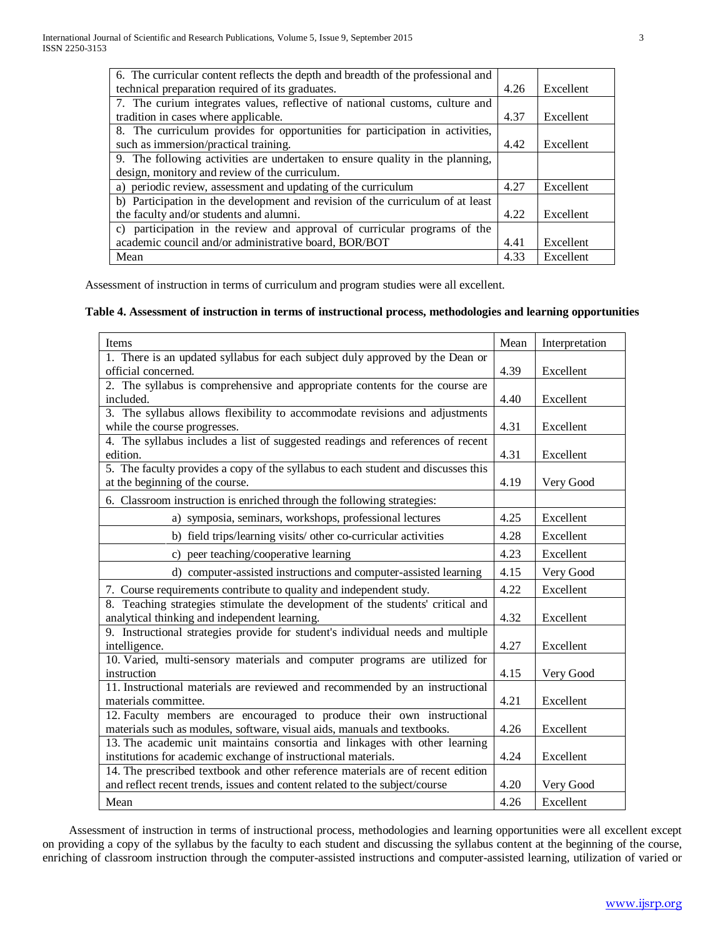| 6. The curricular content reflects the depth and breadth of the professional and |      |           |
|----------------------------------------------------------------------------------|------|-----------|
| technical preparation required of its graduates.                                 | 4.26 | Excellent |
| 7. The curium integrates values, reflective of national customs, culture and     |      |           |
| tradition in cases where applicable.                                             | 4.37 | Excellent |
| 8. The curriculum provides for opportunities for participation in activities,    |      |           |
| such as immersion/practical training.                                            | 4.42 | Excellent |
| 9. The following activities are undertaken to ensure quality in the planning,    |      |           |
| design, monitory and review of the curriculum.                                   |      |           |
| a) periodic review, assessment and updating of the curriculum                    | 4.27 | Excellent |
| b) Participation in the development and revision of the curriculum of at least   |      |           |
| the faculty and/or students and alumni.                                          | 4.22 | Excellent |
| c) participation in the review and approval of curricular programs of the        |      |           |
| academic council and/or administrative board, BOR/BOT                            | 4.41 | Excellent |
| Mean                                                                             | 4.33 | Excellent |

Assessment of instruction in terms of curriculum and program studies were all excellent.

# **Table 4. Assessment of instruction in terms of instructional process, methodologies and learning opportunities**

| Items                                                                             | Mean | Interpretation |
|-----------------------------------------------------------------------------------|------|----------------|
| 1. There is an updated syllabus for each subject duly approved by the Dean or     |      |                |
| official concerned.                                                               | 4.39 | Excellent      |
| 2. The syllabus is comprehensive and appropriate contents for the course are      |      |                |
| included.                                                                         | 4.40 | Excellent      |
| 3. The syllabus allows flexibility to accommodate revisions and adjustments       |      |                |
| while the course progresses.                                                      | 4.31 | Excellent      |
| 4. The syllabus includes a list of suggested readings and references of recent    |      |                |
| edition.                                                                          | 4.31 | Excellent      |
| 5. The faculty provides a copy of the syllabus to each student and discusses this |      |                |
| at the beginning of the course.                                                   | 4.19 | Very Good      |
| 6. Classroom instruction is enriched through the following strategies:            |      |                |
| a) symposia, seminars, workshops, professional lectures                           | 4.25 | Excellent      |
| b) field trips/learning visits/ other co-curricular activities                    | 4.28 | Excellent      |
| peer teaching/cooperative learning<br>$\mathbf{c}$                                | 4.23 | Excellent      |
| d) computer-assisted instructions and computer-assisted learning                  | 4.15 | Very Good      |
| 7. Course requirements contribute to quality and independent study.               | 4.22 | Excellent      |
| 8. Teaching strategies stimulate the development of the students' critical and    |      |                |
| analytical thinking and independent learning.                                     | 4.32 | Excellent      |
| 9. Instructional strategies provide for student's individual needs and multiple   |      |                |
| intelligence.                                                                     | 4.27 | Excellent      |
| 10. Varied, multi-sensory materials and computer programs are utilized for        |      |                |
| instruction                                                                       | 4.15 | Very Good      |
| 11. Instructional materials are reviewed and recommended by an instructional      |      |                |
| materials committee.                                                              | 4.21 | Excellent      |
| 12. Faculty members are encouraged to produce their own instructional             |      |                |
| materials such as modules, software, visual aids, manuals and textbooks.          | 4.26 | Excellent      |
| 13. The academic unit maintains consortia and linkages with other learning        |      |                |
| institutions for academic exchange of instructional materials.                    | 4.24 | Excellent      |
| 14. The prescribed textbook and other reference materials are of recent edition   |      |                |
| and reflect recent trends, issues and content related to the subject/course       | 4.20 | Very Good      |
| Mean                                                                              | 4.26 | Excellent      |

Assessment of instruction in terms of instructional process, methodologies and learning opportunities were all excellent except on providing a copy of the syllabus by the faculty to each student and discussing the syllabus content at the beginning of the course, enriching of classroom instruction through the computer-assisted instructions and computer-assisted learning, utilization of varied or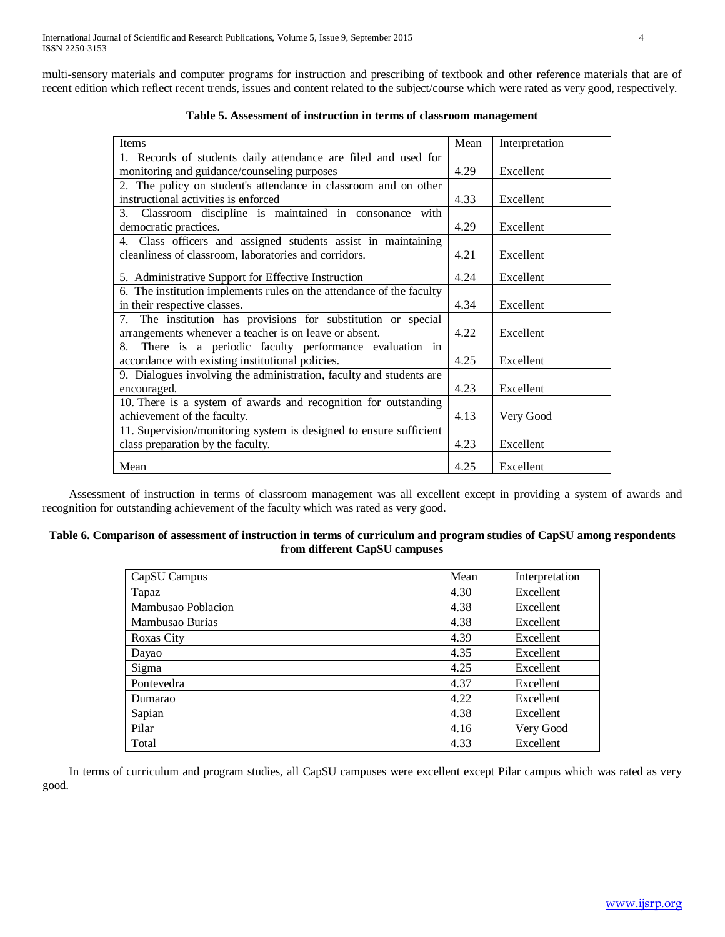multi-sensory materials and computer programs for instruction and prescribing of textbook and other reference materials that are of recent edition which reflect recent trends, issues and content related to the subject/course which were rated as very good, respectively.

| Items                                                                | Mean | Interpretation |
|----------------------------------------------------------------------|------|----------------|
| 1. Records of students daily attendance are filed and used for       |      |                |
| monitoring and guidance/counseling purposes                          | 4.29 | Excellent      |
| 2. The policy on student's attendance in classroom and on other      |      |                |
| instructional activities is enforced                                 | 4.33 | Excellent      |
| 3. Classroom discipline is maintained in consonance with             |      |                |
| democratic practices.                                                | 4.29 | Excellent      |
| 4. Class officers and assigned students assist in maintaining        |      |                |
| cleanliness of classroom, laboratories and corridors.                | 4.21 | Excellent      |
| 5. Administrative Support for Effective Instruction                  | 4.24 | Excellent      |
| 6. The institution implements rules on the attendance of the faculty |      |                |
| in their respective classes.                                         | 4.34 | Excellent      |
| 7. The institution has provisions for substitution or special        |      |                |
| arrangements whenever a teacher is on leave or absent.               | 4.22 | Excellent      |
| There is a periodic faculty performance evaluation in<br>8.          |      |                |
| accordance with existing institutional policies.                     | 4.25 | Excellent      |
| 9. Dialogues involving the administration, faculty and students are  |      |                |
| encouraged.                                                          | 4.23 | Excellent      |
| 10. There is a system of awards and recognition for outstanding      |      |                |
| achievement of the faculty.                                          | 4.13 | Very Good      |
| 11. Supervision/monitoring system is designed to ensure sufficient   |      |                |
| class preparation by the faculty.                                    | 4.23 | Excellent      |
| Mean                                                                 | 4.25 | Excellent      |

**Table 5. Assessment of instruction in terms of classroom management**

Assessment of instruction in terms of classroom management was all excellent except in providing a system of awards and recognition for outstanding achievement of the faculty which was rated as very good.

# **Table 6. Comparison of assessment of instruction in terms of curriculum and program studies of CapSU among respondents from different CapSU campuses**

| CapSU Campus       | Mean | Interpretation |
|--------------------|------|----------------|
| Tapaz              | 4.30 | Excellent      |
| Mambusao Poblacion | 4.38 | Excellent      |
| Mambusao Burias    | 4.38 | Excellent      |
| <b>Roxas City</b>  | 4.39 | Excellent      |
| Dayao              | 4.35 | Excellent      |
| Sigma              | 4.25 | Excellent      |
| Pontevedra         | 4.37 | Excellent      |
| Dumarao            | 4.22 | Excellent      |
| Sapian             | 4.38 | Excellent      |
| Pilar              | 4.16 | Very Good      |
| Total              | 4.33 | Excellent      |

In terms of curriculum and program studies, all CapSU campuses were excellent except Pilar campus which was rated as very good.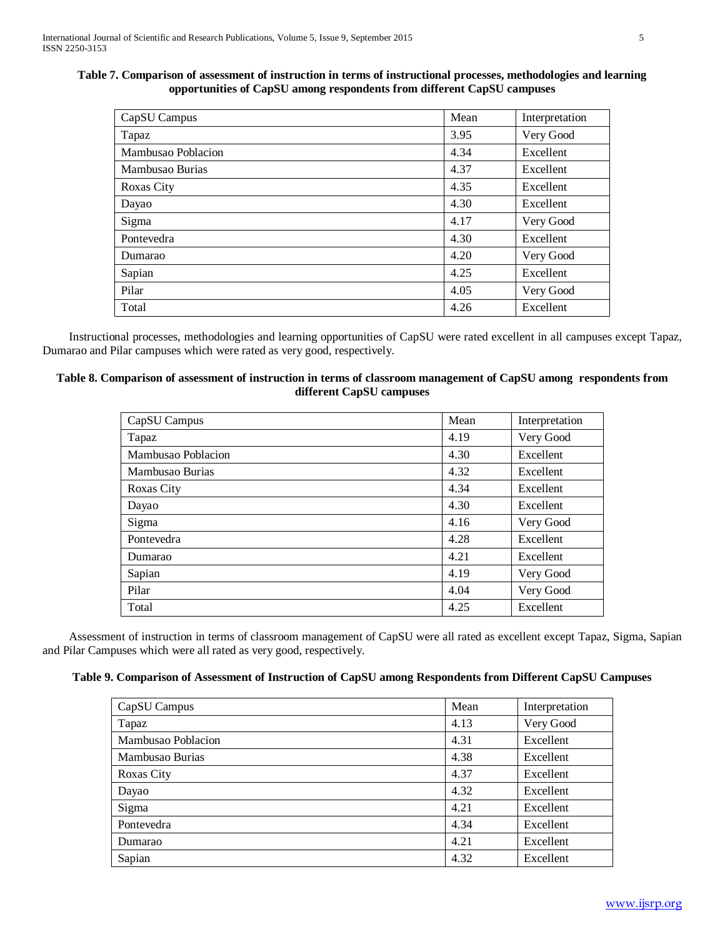# **Table 7. Comparison of assessment of instruction in terms of instructional processes, methodologies and learning opportunities of CapSU among respondents from different CapSU campuses**

| CapSU Campus       | Mean | Interpretation |
|--------------------|------|----------------|
| Tapaz              | 3.95 | Very Good      |
| Mambusao Poblacion | 4.34 | Excellent      |
| Mambusao Burias    | 4.37 | Excellent      |
| <b>Roxas City</b>  | 4.35 | Excellent      |
| Dayao              | 4.30 | Excellent      |
| Sigma              | 4.17 | Very Good      |
| Pontevedra         | 4.30 | Excellent      |
| Dumarao            | 4.20 | Very Good      |
| Sapian             | 4.25 | Excellent      |
| Pilar              | 4.05 | Very Good      |
| Total              | 4.26 | Excellent      |

Instructional processes, methodologies and learning opportunities of CapSU were rated excellent in all campuses except Tapaz, Dumarao and Pilar campuses which were rated as very good, respectively.

# **Table 8. Comparison of assessment of instruction in terms of classroom management of CapSU among respondents from different CapSU campuses**

| CapSU Campus       | Mean | Interpretation |
|--------------------|------|----------------|
| Tapaz              | 4.19 | Very Good      |
| Mambusao Poblacion | 4.30 | Excellent      |
| Mambusao Burias    | 4.32 | Excellent      |
| <b>Roxas City</b>  | 4.34 | Excellent      |
| Dayao              | 4.30 | Excellent      |
| Sigma              | 4.16 | Very Good      |
| Pontevedra         | 4.28 | Excellent      |
| Dumarao            | 4.21 | Excellent      |
| Sapian             | 4.19 | Very Good      |
| Pilar              | 4.04 | Very Good      |
| Total              | 4.25 | Excellent      |

Assessment of instruction in terms of classroom management of CapSU were all rated as excellent except Tapaz, Sigma, Sapian and Pilar Campuses which were all rated as very good, respectively.

# **Table 9. Comparison of Assessment of Instruction of CapSU among Respondents from Different CapSU Campuses**

| CapSU Campus       | Mean | Interpretation |
|--------------------|------|----------------|
| Tapaz              | 4.13 | Very Good      |
| Mambusao Poblacion | 4.31 | Excellent      |
| Mambusao Burias    | 4.38 | Excellent      |
| Roxas City         | 4.37 | Excellent      |
| Dayao              | 4.32 | Excellent      |
| Sigma              | 4.21 | Excellent      |
| Pontevedra         | 4.34 | Excellent      |
| Dumarao            | 4.21 | Excellent      |
| Sapian             | 4.32 | Excellent      |